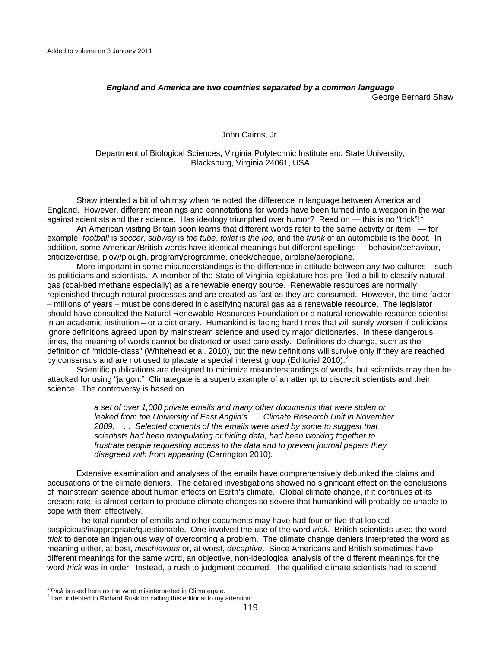## *England and America are two countries separated by a common language* George Bernard Shaw

## John Cairns, Jr.

Department of Biological Sciences, Virginia Polytechnic Institute and State University, Blacksburg, Virginia 24061, USA

 Shaw intended a bit of whimsy when he noted the difference in language between America and England. However, different meanings and connotations for words have been turned into a weapon in the war against scientists and their science. Has ideology triumphed over humor? Read on — this is no "trick"!<sup>[1](#page-0-0)</sup>

 An American visiting Britain soon learns that different words refer to the same activity or item — for example, *football* is *soccer*, *subway* is *the tube*, *toilet* is *the loo*, and the *trunk* of an automobile is the *boot*. In addition, some American/British words have identical meanings but different spellings — behavior/behaviour, criticize/critise, plow/plough, program/programme, check/cheque, airplane/aeroplane.

More important in some misunderstandings is the difference in attitude between any two cultures – such as politicians and scientists. A member of the State of Virginia legislature has pre-filed a bill to classify natural gas (coal-bed methane especially) as a renewable energy source. Renewable resources are normally replenished through natural processes and are created as fast as they are consumed. However, the time factor – millions of years – must be considered in classifying natural gas as a renewable resource. The legislator should have consulted the Natural Renewable Resources Foundation or a natural renewable resource scientist in an academic institution – or a dictionary. Humankind is facing hard times that will surely worsen if politicians ignore definitions agreed upon by mainstream science and used by major dictionaries. In these dangerous times, the meaning of words cannot be distorted or used carelessly. Definitions do change, such as the definition of "middle-class" (Whitehead et al. 2010), but the new definitions will survive only if they are reached by consensus and are not used to placate a special interest group (Editorial [2](#page-0-1)010).<sup>2</sup>

Scientific publications are designed to minimize misunderstandings of words, but scientists may then be attacked for using "jargon." Climategate is a superb example of an attempt to discredit scientists and their science. The controversy is based on

> *a set of over 1,000 private emails and many other documents that were stolen or leaked from the University of East Anglia's . . . Climate Research Unit in November 2009. . . . Selected contents of the emails were used by some to suggest that scientists had been manipulating or hiding data, had been working together to frustrate people requesting access to the data and to prevent journal papers they disagreed with from appearing* (Carrington 2010).

Extensive examination and analyses of the emails have comprehensively debunked the claims and accusations of the climate deniers. The detailed investigations showed no significant effect on the conclusions of mainstream science about human effects on Earth's climate. Global climate change, if it continues at its present rate, is almost certain to produce climate changes so severe that humankind will probably be unable to cope with them effectively.

The total number of emails and other documents may have had four or five that looked suspicious/inappropriate/questionable. One involved the use of the word *trick*. British scientists used the word *trick* to denote an ingenious way of overcoming a problem. The climate change deniers interpreted the word as meaning either, at best, *mischievous* or, at worst, *deceptive*. Since Americans and British sometimes have different meanings for the same word, an objective, non-ideological analysis of the different meanings for the word *trick* was in order. Instead, a rush to judgment occurred. The qualified climate scientists had to spend

<sup>&</sup>lt;sup>1</sup> *Trick* is used here as the word misinterpreted in Climategate.<br><sup>2</sup> I am indebted to Bishard Buck for calling this aditarial to my

<span id="page-0-1"></span><span id="page-0-0"></span><sup>&</sup>lt;sup>2</sup> I am indebted to Richard Rusk for calling this editorial to my attention